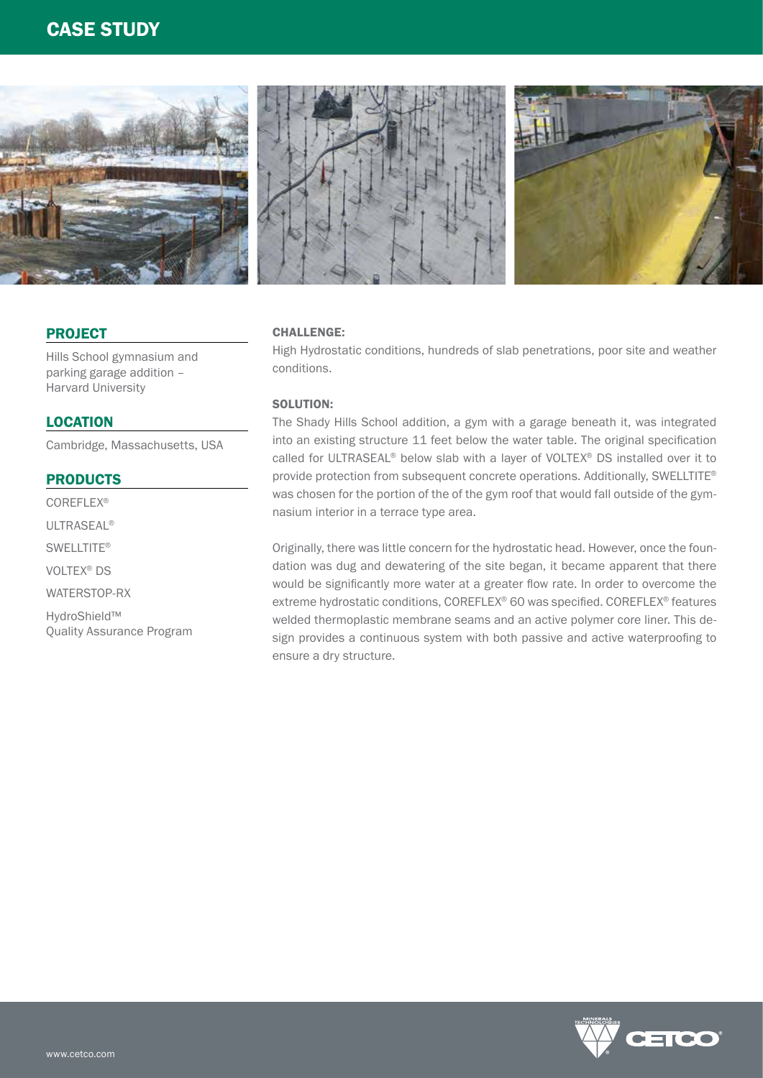# CASE STUDY



## PROJECT

Hills School gymnasium and parking garage addition – Harvard University

### **LOCATION**

Cambridge, Massachusetts, USA

### PRODUCTS

COREFLEX® ULTRASEAL® SWELLTITE® VOLTEX® DS WATERSTOP-RX HydroShield™ Quality Assurance Program

## CHALLENGE:

High Hydrostatic conditions, hundreds of slab penetrations, poor site and weather conditions.

## SOLUTION:

The Shady Hills School addition, a gym with a garage beneath it, was integrated into an existing structure 11 feet below the water table. The original specification called for ULTRASEAL® below slab with a layer of VOLTEX® DS installed over it to provide protection from subsequent concrete operations. Additionally, SWELLTITE® was chosen for the portion of the of the gym roof that would fall outside of the gymnasium interior in a terrace type area.

Originally, there was little concern for the hydrostatic head. However, once the foundation was dug and dewatering of the site began, it became apparent that there would be significantly more water at a greater flow rate. In order to overcome the extreme hydrostatic conditions, COREFLEX® 60 was specified. COREFLEX® features welded thermoplastic membrane seams and an active polymer core liner. This design provides a continuous system with both passive and active waterproofing to ensure a dry structure.